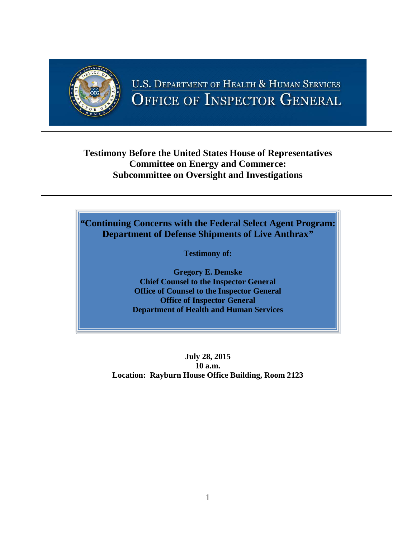

# **U.S. DEPARTMENT OF HEALTH & HUMAN SERVICES** OFFICE OF INSPECTOR GENERAL

## **Testimony Before the United States House of Representatives Committee on Energy and Commerce: Subcommittee on Oversight and Investigations**

# *"***Continuing Concerns with the Federal Select Agent Program: Department of Defense Shipments of Live Anthrax***"*

**Testimony of:**

**Gregory E. Demske Chief Counsel to the Inspector General Office of Counsel to the Inspector General Office of Inspector General Department of Health and Human Services**

**July 28, 2015 10 a.m. Location: Rayburn House Office Building, Room 2123**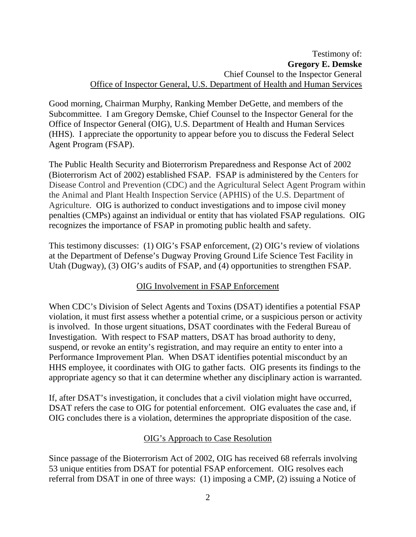Good morning, Chairman Murphy, Ranking Member DeGette, and members of the Subcommittee. I am Gregory Demske, Chief Counsel to the Inspector General for the Office of Inspector General (OIG), U.S. Department of Health and Human Services (HHS). I appreciate the opportunity to appear before you to discuss the Federal Select Agent Program (FSAP).

The Public Health Security and Bioterrorism Preparedness and Response Act of 2002 (Bioterrorism Act of 2002) established FSAP. FSAP is administered by the Centers for Disease Control and Prevention (CDC) and the Agricultural Select Agent Program within the Animal and Plant Health Inspection Service (APHIS) of the U.S. Department of Agriculture. OIG is authorized to conduct investigations and to impose civil money penalties (CMPs) against an individual or entity that has violated FSAP regulations. OIG recognizes the importance of FSAP in promoting public health and safety.

This testimony discusses: (1) OIG's FSAP enforcement, (2) OIG's review of violations at the Department of Defense's Dugway Proving Ground Life Science Test Facility in Utah (Dugway), (3) OIG's audits of FSAP, and (4) opportunities to strengthen FSAP.

## OIG Involvement in FSAP Enforcement

When CDC's Division of Select Agents and Toxins (DSAT) identifies a potential FSAP violation, it must first assess whether a potential crime, or a suspicious person or activity is involved. In those urgent situations, DSAT coordinates with the Federal Bureau of Investigation. With respect to FSAP matters, DSAT has broad authority to deny, suspend, or revoke an entity's registration, and may require an entity to enter into a Performance Improvement Plan. When DSAT identifies potential misconduct by an HHS employee, it coordinates with OIG to gather facts. OIG presents its findings to the appropriate agency so that it can determine whether any disciplinary action is warranted.

If, after DSAT's investigation, it concludes that a civil violation might have occurred, DSAT refers the case to OIG for potential enforcement. OIG evaluates the case and, if OIG concludes there is a violation, determines the appropriate disposition of the case.

## OIG's Approach to Case Resolution

Since passage of the Bioterrorism Act of 2002, OIG has received 68 referrals involving 53 unique entities from DSAT for potential FSAP enforcement. OIG resolves each referral from DSAT in one of three ways: (1) imposing a CMP, (2) issuing a Notice of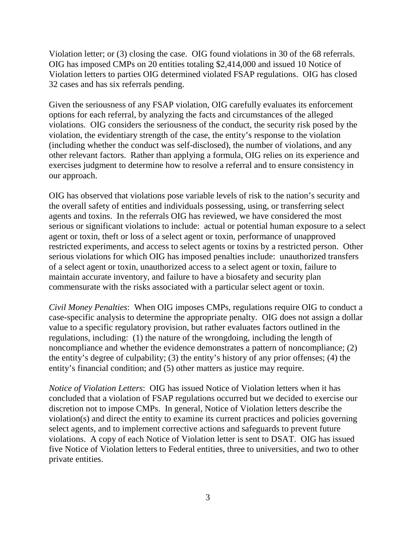Violation letter; or (3) closing the case. OIG found violations in 30 of the 68 referrals. OIG has imposed CMPs on 20 entities totaling \$2,414,000 and issued 10 Notice of Violation letters to parties OIG determined violated FSAP regulations. OIG has closed 32 cases and has six referrals pending.

Given the seriousness of any FSAP violation, OIG carefully evaluates its enforcement options for each referral, by analyzing the facts and circumstances of the alleged violations. OIG considers the seriousness of the conduct, the security risk posed by the violation, the evidentiary strength of the case, the entity's response to the violation (including whether the conduct was self-disclosed), the number of violations, and any other relevant factors. Rather than applying a formula, OIG relies on its experience and exercises judgment to determine how to resolve a referral and to ensure consistency in our approach.

OIG has observed that violations pose variable levels of risk to the nation's security and the overall safety of entities and individuals possessing, using, or transferring select agents and toxins. In the referrals OIG has reviewed, we have considered the most serious or significant violations to include: actual or potential human exposure to a select agent or toxin, theft or loss of a select agent or toxin, performance of unapproved restricted experiments, and access to select agents or toxins by a restricted person. Other serious violations for which OIG has imposed penalties include: unauthorized transfers of a select agent or toxin, unauthorized access to a select agent or toxin, failure to maintain accurate inventory, and failure to have a biosafety and security plan commensurate with the risks associated with a particular select agent or toxin.

*Civil Money Penalties*: When OIG imposes CMPs, regulations require OIG to conduct a case-specific analysis to determine the appropriate penalty. OIG does not assign a dollar value to a specific regulatory provision, but rather evaluates factors outlined in the regulations, including: (1) the nature of the wrongdoing, including the length of noncompliance and whether the evidence demonstrates a pattern of noncompliance; (2) the entity's degree of culpability; (3) the entity's history of any prior offenses; (4) the entity's financial condition; and (5) other matters as justice may require.

*Notice of Violation Letters*: OIG has issued Notice of Violation letters when it has concluded that a violation of FSAP regulations occurred but we decided to exercise our discretion not to impose CMPs. In general, Notice of Violation letters describe the violation(s) and direct the entity to examine its current practices and policies governing select agents, and to implement corrective actions and safeguards to prevent future violations. A copy of each Notice of Violation letter is sent to DSAT. OIG has issued five Notice of Violation letters to Federal entities, three to universities, and two to other private entities.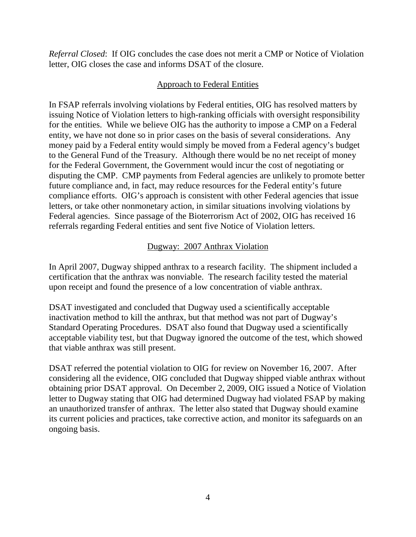*Referral Closed*: If OIG concludes the case does not merit a CMP or Notice of Violation letter, OIG closes the case and informs DSAT of the closure.

#### Approach to Federal Entities

In FSAP referrals involving violations by Federal entities, OIG has resolved matters by issuing Notice of Violation letters to high-ranking officials with oversight responsibility for the entities. While we believe OIG has the authority to impose a CMP on a Federal entity, we have not done so in prior cases on the basis of several considerations. Any money paid by a Federal entity would simply be moved from a Federal agency's budget to the General Fund of the Treasury. Although there would be no net receipt of money for the Federal Government, the Government would incur the cost of negotiating or disputing the CMP. CMP payments from Federal agencies are unlikely to promote better future compliance and, in fact, may reduce resources for the Federal entity's future compliance efforts. OIG's approach is consistent with other Federal agencies that issue letters, or take other nonmonetary action, in similar situations involving violations by Federal agencies. Since passage of the Bioterrorism Act of 2002, OIG has received 16 referrals regarding Federal entities and sent five Notice of Violation letters.

## Dugway: 2007 Anthrax Violation

In April 2007, Dugway shipped anthrax to a research facility. The shipment included a certification that the anthrax was nonviable. The research facility tested the material upon receipt and found the presence of a low concentration of viable anthrax.

DSAT investigated and concluded that Dugway used a scientifically acceptable inactivation method to kill the anthrax, but that method was not part of Dugway's Standard Operating Procedures. DSAT also found that Dugway used a scientifically acceptable viability test, but that Dugway ignored the outcome of the test, which showed that viable anthrax was still present.

DSAT referred the potential violation to OIG for review on November 16, 2007. After considering all the evidence, OIG concluded that Dugway shipped viable anthrax without obtaining prior DSAT approval. On December 2, 2009, OIG issued a Notice of Violation letter to Dugway stating that OIG had determined Dugway had violated FSAP by making an unauthorized transfer of anthrax. The letter also stated that Dugway should examine its current policies and practices, take corrective action, and monitor its safeguards on an ongoing basis.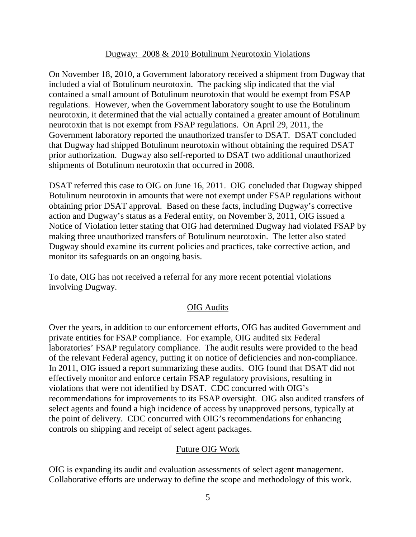#### Dugway: 2008 & 2010 Botulinum Neurotoxin Violations

On November 18, 2010, a Government laboratory received a shipment from Dugway that included a vial of Botulinum neurotoxin. The packing slip indicated that the vial contained a small amount of Botulinum neurotoxin that would be exempt from FSAP regulations. However, when the Government laboratory sought to use the Botulinum neurotoxin, it determined that the vial actually contained a greater amount of Botulinum neurotoxin that is not exempt from FSAP regulations. On April 29, 2011, the Government laboratory reported the unauthorized transfer to DSAT. DSAT concluded that Dugway had shipped Botulinum neurotoxin without obtaining the required DSAT prior authorization. Dugway also self-reported to DSAT two additional unauthorized shipments of Botulinum neurotoxin that occurred in 2008.

DSAT referred this case to OIG on June 16, 2011. OIG concluded that Dugway shipped Botulinum neurotoxin in amounts that were not exempt under FSAP regulations without obtaining prior DSAT approval. Based on these facts, including Dugway's corrective action and Dugway's status as a Federal entity, on November 3, 2011, OIG issued a Notice of Violation letter stating that OIG had determined Dugway had violated FSAP by making three unauthorized transfers of Botulinum neurotoxin. The letter also stated Dugway should examine its current policies and practices, take corrective action, and monitor its safeguards on an ongoing basis.

To date, OIG has not received a referral for any more recent potential violations involving Dugway.

#### OIG Audits

Over the years, in addition to our enforcement efforts, OIG has audited Government and private entities for FSAP compliance. For example, OIG audited six Federal laboratories' FSAP regulatory compliance. The audit results were provided to the head of the relevant Federal agency, putting it on notice of deficiencies and non-compliance. In 2011, OIG issued a report summarizing these audits. OIG found that DSAT did not effectively monitor and enforce certain FSAP regulatory provisions, resulting in violations that were not identified by DSAT. CDC concurred with OIG's recommendations for improvements to its FSAP oversight. OIG also audited transfers of select agents and found a high incidence of access by unapproved persons, typically at the point of delivery. CDC concurred with OIG's recommendations for enhancing controls on shipping and receipt of select agent packages.

#### Future OIG Work

OIG is expanding its audit and evaluation assessments of select agent management. Collaborative efforts are underway to define the scope and methodology of this work.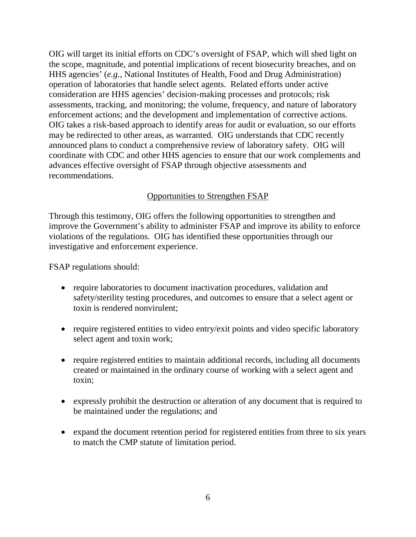OIG will target its initial efforts on CDC's oversight of FSAP, which will shed light on the scope, magnitude, and potential implications of recent biosecurity breaches, and on HHS agencies' (*e.g.*, National Institutes of Health, Food and Drug Administration) operation of laboratories that handle select agents. Related efforts under active consideration are HHS agencies' decision-making processes and protocols; risk assessments, tracking, and monitoring; the volume, frequency, and nature of laboratory enforcement actions; and the development and implementation of corrective actions. OIG takes a risk-based approach to identify areas for audit or evaluation, so our efforts may be redirected to other areas, as warranted. OIG understands that CDC recently announced plans to conduct a comprehensive review of laboratory safety. OIG will coordinate with CDC and other HHS agencies to ensure that our work complements and advances effective oversight of FSAP through objective assessments and recommendations.

## Opportunities to Strengthen FSAP

Through this testimony, OIG offers the following opportunities to strengthen and improve the Government's ability to administer FSAP and improve its ability to enforce violations of the regulations. OIG has identified these opportunities through our investigative and enforcement experience.

FSAP regulations should:

- require laboratories to document inactivation procedures, validation and safety/sterility testing procedures, and outcomes to ensure that a select agent or toxin is rendered nonvirulent;
- require registered entities to video entry/exit points and video specific laboratory select agent and toxin work;
- require registered entities to maintain additional records, including all documents created or maintained in the ordinary course of working with a select agent and toxin;
- expressly prohibit the destruction or alteration of any document that is required to be maintained under the regulations; and
- expand the document retention period for registered entities from three to six years to match the CMP statute of limitation period.